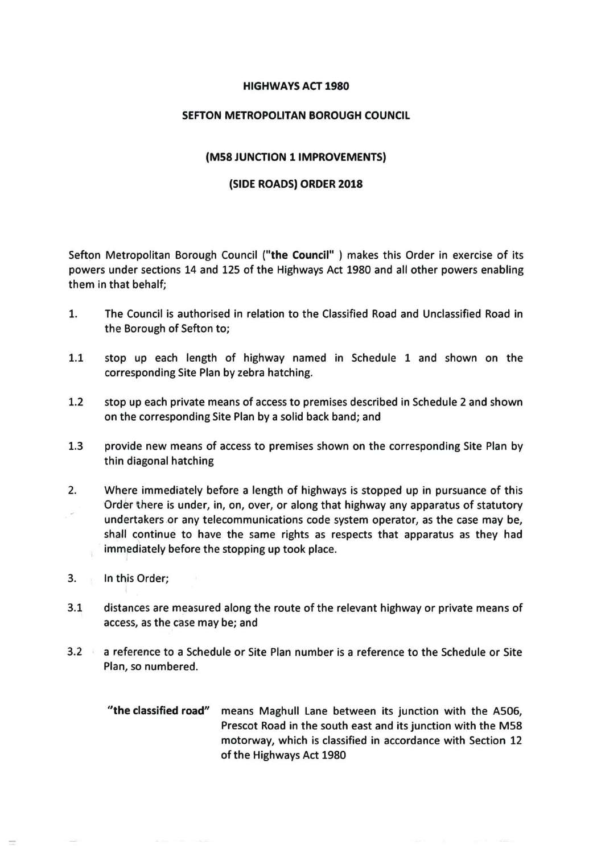#### **HIGHWAYS ACT 1980**

#### **SEFTON METROPOLITAN BOROUGH COUNCIL**

#### **(M58 JUNCTION 1 IMPROVEMENTS)**

#### **(SIDE ROADS) ORDER 2018**

Sefton Metropolitan Borough Council **("the Council" )** makes this Order in exercise of its powers under sections 14 and 125 of the Highways Act 1980 and all other powers enabling them in that behalf;

- 1. The Council is authorised in relation to the Classified Road and Unclassified Road in the Borough of Sefton to;
- 1.1 stop up each length of highway named in Schedule 1 and shown on the corresponding Site Plan by zebra hatching.
- 1.2 stop up each private means of access to premises described in Schedule 2 and shown on the corresponding Site Plan by a solid back band; and
- 1.3 provide new means of access to premises shown on the corresponding Site Plan by thin diagonal hatching
- 2. Where immediately before a length of highways is stopped up in pursuance of this Order there is under, in, on, over, or along that highway any apparatus of statutory undertakers or any telecommunications code system operator, as the case may be, shall continue to have the same rights as respects that apparatus as they had immediately before the stopping up took place.
- 3. In this Order;
- 3.1 distances are measured along the route of the relevant highway or private means of access, as the case may be; and
- 3.2 a reference to a Schedule or Site Plan number is a reference to the Schedule or Site Plan, so numbered.
	- **"the classified road"** means Maghull Lane between its junction with the A506, Prescot Road in the south east and its junction with the M58 motorway, which is classified in accordance with Section 12 of the Highways Act 1980